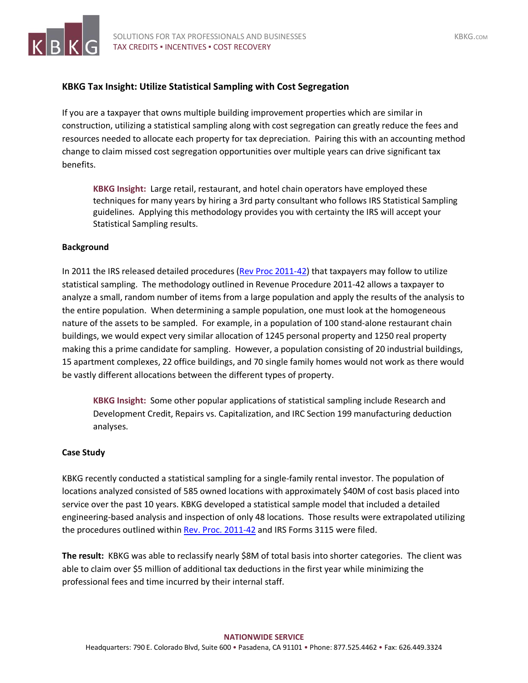

## **KBKG Tax Insight: Utilize Statistical Sampling with Cost Segregation**

If you are a taxpayer that owns multiple building improvement properties which are similar in construction, utilizing a statistical sampling along with cost segregation can greatly reduce the fees and resources needed to allocate each property for tax depreciation. Pairing this with an accounting method change to claim missed cost segregation opportunities over multiple years can drive significant tax benefits.

**KBKG Insight:** Large retail, restaurant, and hotel chain operators have employed these techniques for many years by hiring a 3rd party consultant who follows IRS Statistical Sampling guidelines. Applying this methodology provides you with certainty the IRS will accept your Statistical Sampling results.

## **Background**

In 2011 the IRS released detailed procedures [\(Rev Proc 2011-42\)](https://www.irs.gov/pub/irs-drop/rp-11-42.pdf) that taxpayers may follow to utilize statistical sampling. The methodology outlined in Revenue Procedure 2011-42 allows a taxpayer to analyze a small, random number of items from a large population and apply the results of the analysis to the entire population. When determining a sample population, one must look at the homogeneous nature of the assets to be sampled. For example, in a population of 100 stand-alone restaurant chain buildings, we would expect very similar allocation of 1245 personal property and 1250 real property making this a prime candidate for sampling. However, a population consisting of 20 industrial buildings, 15 apartment complexes, 22 office buildings, and 70 single family homes would not work as there would be vastly different allocations between the different types of property.

**KBKG Insight:** Some other popular applications of statistical sampling include Research and Development Credit, Repairs vs. Capitalization, and IRC Section 199 manufacturing deduction analyses.

## **Case Study**

KBKG recently conducted a statistical sampling for a single-family rental investor. The population of locations analyzed consisted of 585 owned locations with approximately \$40M of cost basis placed into service over the past 10 years. KBKG developed a statistical sample model that included a detailed engineering-based analysis and inspection of only 48 locations. Those results were extrapolated utilizing the procedures outlined within [Rev. Proc. 2011-42](https://www.irs.gov/pub/irs-drop/rp-11-42.pdf) and IRS Forms 3115 were filed.

**The result:** KBKG was able to reclassify nearly \$8M of total basis into shorter categories. The client was able to claim over \$5 million of additional tax deductions in the first year while minimizing the professional fees and time incurred by their internal staff.